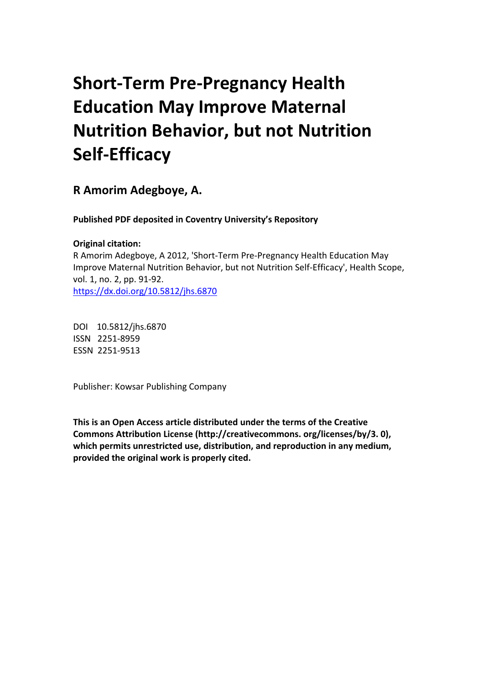# **Short-Term Pre-Pregnancy Health Education May Improve Maternal Nutrition Behavior, but not Nutrition Self-Efficacy**

**R Amorim Adegboye, A.** 

**Published PDF deposited in Coventry University's Repository** 

# **Original citation:**

R Amorim Adegboye, A 2012, 'Short-Term Pre-Pregnancy Health Education May Improve Maternal Nutrition Behavior, but not Nutrition Self-Efficacy', Health Scope, vol. 1, no. 2, pp. 91-92. https://dx.doi.org/10.5812/jhs.6870

 DOI 10.5812/jhs.6870 ISSN 2251-8959 ESSN 2251-9513

Publisher: Kowsar Publishing Company

**This is an Open Access article distributed under the terms of the Creative Commons Attribution License (http://creativecommons. org/licenses/by/3. 0), which permits unrestricted use, distribution, and reproduction in any medium, provided the original work is properly cited.**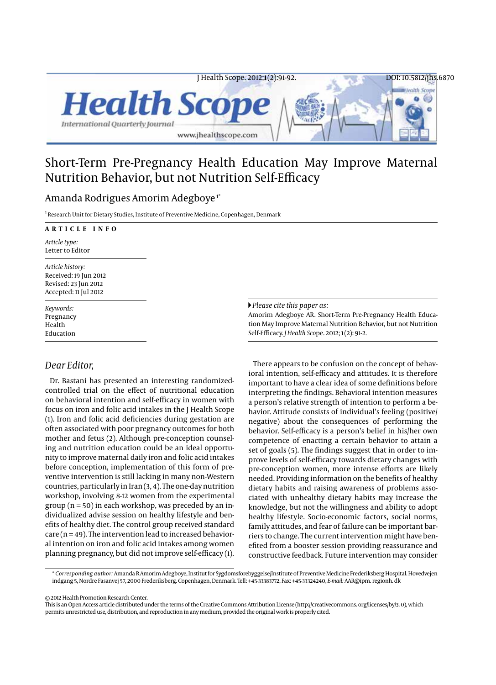

# Short-Term Pre-Pregnancy Health Education May Improve Maternal Nutrition Behavior, but not Nutrition Self-Efficacy

## Amanda Rodrigues Amorim Adegboye 1\*

<sup>1</sup> Research Unit for Dietary Studies, Institute of Preventive Medicine, Copenhagen, Denmark

| ARTICLE INFO                                                                               |                                                                                                                                                                                                                                            |
|--------------------------------------------------------------------------------------------|--------------------------------------------------------------------------------------------------------------------------------------------------------------------------------------------------------------------------------------------|
| Article type:<br>Letter to Editor                                                          |                                                                                                                                                                                                                                            |
| Article history:<br>Received: 19 Jun 2012<br>Revised: 23 Jun 2012<br>Accepted: 11 Jul 2012 |                                                                                                                                                                                                                                            |
| Keywords:<br>Pregnancy<br>Health<br>Education                                              | $\blacktriangleright$ Please cite this paper as:<br>Amorim Adegboye AR. Short-Term Pre-Pregnancy Health Educa-<br>tion May Improve Maternal Nutrition Behavior, but not Nutrition<br>Self-Efficacy. <i>Health Scope.</i> 2012; 1(2): 91-2. |

### *Dear Editor,*

Dr. Bastani has presented an interesting randomizedcontrolled trial on the efect of nutritional education on behavioral intention and self-efficacy in women with focus on iron and folic acid intakes in the J Health Scope (1). Iron and folic acid defciencies during gestation are often associated with poor pregnancy outcomes for both mother and fetus (2). Although pre-conception counseling and nutrition education could be an ideal opportunity to improve maternal daily iron and folic acid intakes before conception, implementation of this form of preventive intervention is still lacking in many non-Western countries, particularly in Iran (3, 4). The one-day nutrition workshop, involving 8-12 women from the experimental group ( $n = 50$ ) in each workshop, was preceded by an individualized advise session on healthy lifestyle and benefts of healthy diet. The control group received standard  $care (n = 49)$ . The intervention lead to increased behavioral intention on iron and folic acid intakes among women planning pregnancy, but did not improve self-efficacy (1).

There appears to be confusion on the concept of behavioral intention, self-efficacy and attitudes. It is therefore important to have a clear idea of some defnitions before interpreting the fndings. Behavioral intention measures a person's relative strength of intention to perform a behavior. Attitude consists of individual's feeling (positive/ negative) about the consequences of performing the behavior. Self-efficacy is a person's belief in his/her own competence of enacting a certain behavior to attain a set of goals (5). The fndings suggest that in order to improve levels of self-efficacy towards dietary changes with pre-conception women, more intense efforts are likely needed. Providing information on the benefts of healthy dietary habits and raising awareness of problems associated with unhealthy dietary habits may increase the knowledge, but not the willingness and ability to adopt healthy lifestyle. Socio-economic factors, social norms, family attitudes, and fear of failure can be important barriers to change. The current intervention might have benefted from a booster session providing reassurance and constructive feedback. Future intervention may consider

\* *Corresponding author:* Amanda R Amorim Adegboye, Institut for Sygdomsforebyggelse/Institute of Preventive Medicine Frederiksberg Hospital. Hovedvejen indgang 5, Nordre Fasanvej 57, 2000 Frederiksberg. Copenhagen, Denmark. Tell: +45-33383772, Fax: +45-33324240, *E-mail:* AAR@ipm. regionh. dk

© 2012 Health Promotion Research Center.

This is an Open Access article distributed under the terms of the Creative Commons Attribution License (http://creativecommons. org/licenses/by/3. 0), which permits unrestricted use, distribution, and reproduction in any medium, provided the original work is properly cited.